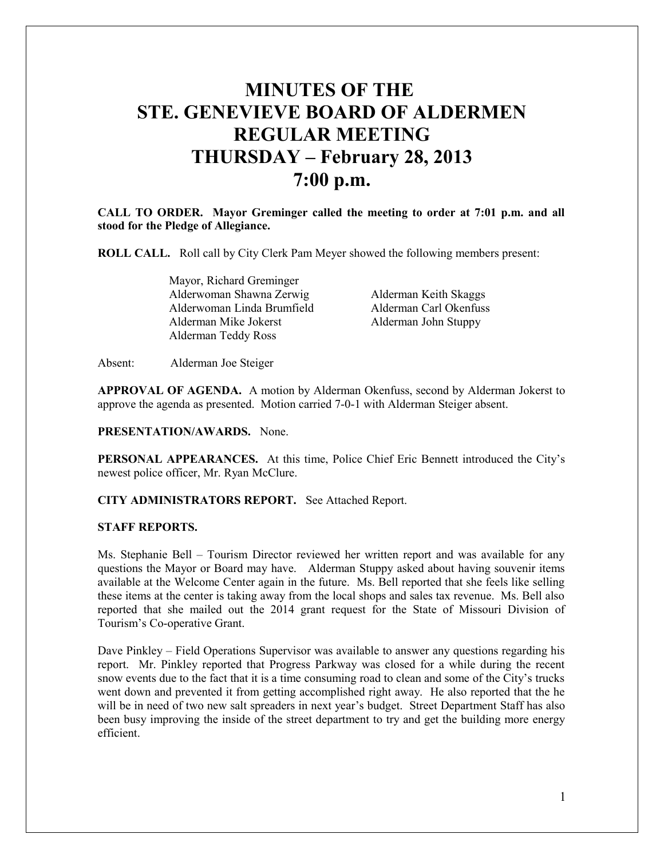# **MINUTES OF THE STE. GENEVIEVE BOARD OF ALDERMEN REGULAR MEETING THURSDAY – February 28, 2013 7:00 p.m.**

**CALL TO ORDER. Mayor Greminger called the meeting to order at 7:01 p.m. and all stood for the Pledge of Allegiance.** 

**ROLL CALL.** Roll call by City Clerk Pam Meyer showed the following members present:

 Mayor, Richard Greminger Alderwoman Shawna Zerwig Alderman Keith Skaggs Alderwoman Linda Brumfield Alderman Carl Okenfuss Alderman Mike Jokerst Alderman John Stuppy Alderman Teddy Ross

Absent: Alderman Joe Steiger

**APPROVAL OF AGENDA.** A motion by Alderman Okenfuss, second by Alderman Jokerst to approve the agenda as presented. Motion carried 7-0-1 with Alderman Steiger absent.

# **PRESENTATION/AWARDS.** None.

**PERSONAL APPEARANCES.** At this time, Police Chief Eric Bennett introduced the City's newest police officer, Mr. Ryan McClure.

# **CITY ADMINISTRATORS REPORT.** See Attached Report.

## **STAFF REPORTS.**

Ms. Stephanie Bell – Tourism Director reviewed her written report and was available for any questions the Mayor or Board may have. Alderman Stuppy asked about having souvenir items available at the Welcome Center again in the future. Ms. Bell reported that she feels like selling these items at the center is taking away from the local shops and sales tax revenue. Ms. Bell also reported that she mailed out the 2014 grant request for the State of Missouri Division of Tourism's Co-operative Grant.

Dave Pinkley – Field Operations Supervisor was available to answer any questions regarding his report. Mr. Pinkley reported that Progress Parkway was closed for a while during the recent snow events due to the fact that it is a time consuming road to clean and some of the City's trucks went down and prevented it from getting accomplished right away. He also reported that the he will be in need of two new salt spreaders in next year's budget. Street Department Staff has also been busy improving the inside of the street department to try and get the building more energy efficient.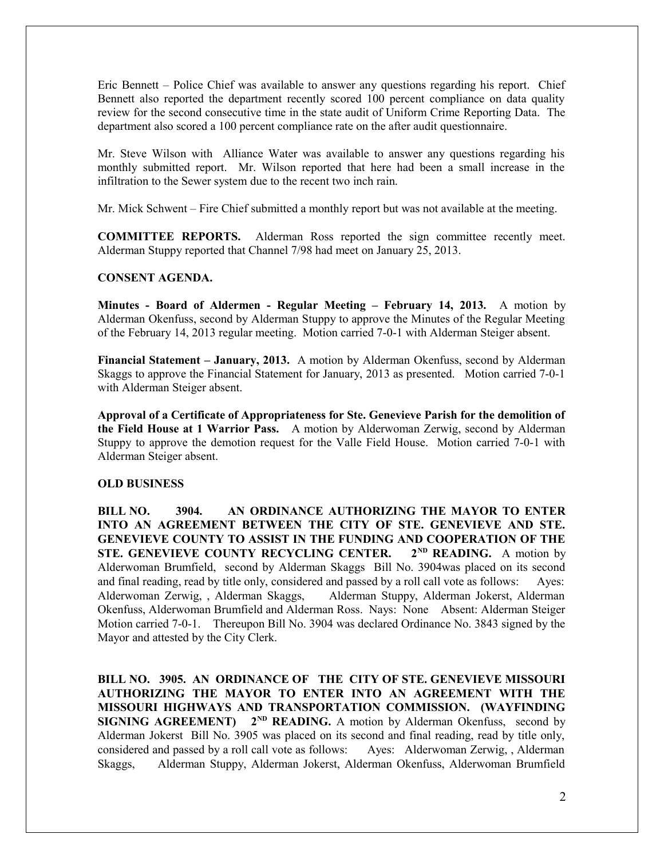Eric Bennett – Police Chief was available to answer any questions regarding his report. Chief Bennett also reported the department recently scored 100 percent compliance on data quality review for the second consecutive time in the state audit of Uniform Crime Reporting Data. The department also scored a 100 percent compliance rate on the after audit questionnaire.

Mr. Steve Wilson with Alliance Water was available to answer any questions regarding his monthly submitted report. Mr. Wilson reported that here had been a small increase in the infiltration to the Sewer system due to the recent two inch rain.

Mr. Mick Schwent – Fire Chief submitted a monthly report but was not available at the meeting.

**COMMITTEE REPORTS.** Alderman Ross reported the sign committee recently meet. Alderman Stuppy reported that Channel 7/98 had meet on January 25, 2013.

## **CONSENT AGENDA.**

**Minutes - Board of Aldermen - Regular Meeting – February 14, 2013.** A motion by Alderman Okenfuss, second by Alderman Stuppy to approve the Minutes of the Regular Meeting of the February 14, 2013 regular meeting. Motion carried 7-0-1 with Alderman Steiger absent.

**Financial Statement – January, 2013.** A motion by Alderman Okenfuss, second by Alderman Skaggs to approve the Financial Statement for January, 2013 as presented. Motion carried 7-0-1 with Alderman Steiger absent.

**Approval of a Certificate of Appropriateness for Ste. Genevieve Parish for the demolition of the Field House at 1 Warrior Pass.** A motion by Alderwoman Zerwig, second by Alderman Stuppy to approve the demotion request for the Valle Field House. Motion carried 7-0-1 with Alderman Steiger absent.

## **OLD BUSINESS**

**BILL NO. 3904. AN ORDINANCE AUTHORIZING THE MAYOR TO ENTER INTO AN AGREEMENT BETWEEN THE CITY OF STE. GENEVIEVE AND STE. GENEVIEVE COUNTY TO ASSIST IN THE FUNDING AND COOPERATION OF THE STE. GENEVIEVE COUNTY RECYCLING CENTER. 2ND READING.** A motion by Alderwoman Brumfield, second by Alderman Skaggs Bill No. 3904was placed on its second and final reading, read by title only, considered and passed by a roll call vote as follows: Ayes: Alderwoman Zerwig, , Alderman Skaggs, Alderman Stuppy, Alderman Jokerst, Alderman Okenfuss, Alderwoman Brumfield and Alderman Ross. Nays: None Absent: Alderman Steiger Motion carried 7-0-1. Thereupon Bill No. 3904 was declared Ordinance No. 3843 signed by the Mayor and attested by the City Clerk.

**BILL NO. 3905. AN ORDINANCE OF THE CITY OF STE. GENEVIEVE MISSOURI AUTHORIZING THE MAYOR TO ENTER INTO AN AGREEMENT WITH THE MISSOURI HIGHWAYS AND TRANSPORTATION COMMISSION. (WAYFINDING SIGNING AGREEMENT)** 2<sup>ND</sup> READING. A motion by Alderman Okenfuss, second by Alderman Jokerst Bill No. 3905 was placed on its second and final reading, read by title only, considered and passed by a roll call vote as follows: Ayes: Alderwoman Zerwig, , Alderman Skaggs, Alderman Stuppy, Alderman Jokerst, Alderman Okenfuss, Alderwoman Brumfield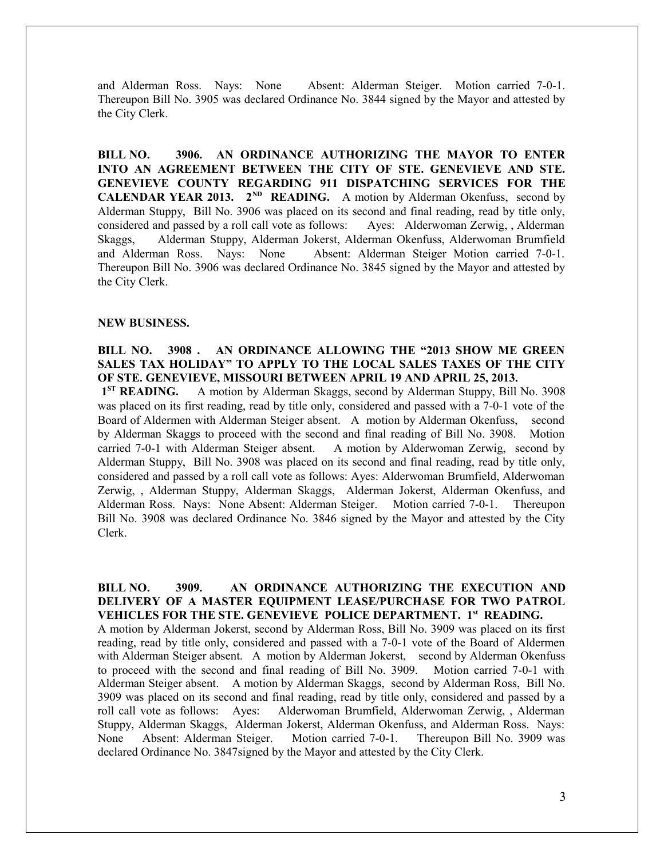and Alderman Ross. Nays: None Absent: Alderman Steiger. Motion carried 7-0-1. Thereupon Bill No. 3905 was declared Ordinance No. 3844 signed by the Mayor and attested by the City Clerk.

**BILL NO. 3906. AN ORDINANCE AUTHORIZING THE MAYOR TO ENTER INTO AN AGREEMENT BETWEEN THE CITY OF STE. GENEVIEVE AND STE. GENEVIEVE COUNTY REGARDING 911 DISPATCHING SERVICES FOR THE CALENDAR YEAR 2013.** 2<sup>ND</sup> **READING.** A motion by Alderman Okenfuss, second by Alderman Stuppy, Bill No. 3906 was placed on its second and final reading, read by title only, considered and passed by a roll call vote as follows: Ayes: Alderwoman Zerwig, , Alderman Skaggs, Alderman Stuppy, Alderman Jokerst, Alderman Okenfuss, Alderwoman Brumfield and Alderman Ross. Nays: None Absent: Alderman Steiger Motion carried 7-0-1. Thereupon Bill No. 3906 was declared Ordinance No. 3845 signed by the Mayor and attested by the City Clerk.

#### **NEW BUSINESS.**

# **BILL NO. 3908 . AN ORDINANCE ALLOWING THE "2013 SHOW ME GREEN SALES TAX HOLIDAY" TO APPLY TO THE LOCAL SALES TAXES OF THE CITY OF STE. GENEVIEVE, MISSOURI BETWEEN APRIL 19 AND APRIL 25, 2013.**

 **1ST READING.** A motion by Alderman Skaggs, second by Alderman Stuppy, Bill No. 3908 was placed on its first reading, read by title only, considered and passed with a 7-0-1 vote of the Board of Aldermen with Alderman Steiger absent. A motion by Alderman Okenfuss, second by Alderman Skaggs to proceed with the second and final reading of Bill No. 3908. Motion carried 7-0-1 with Alderman Steiger absent. A motion by Alderwoman Zerwig, second by Alderman Stuppy, Bill No. 3908 was placed on its second and final reading, read by title only, considered and passed by a roll call vote as follows: Ayes: Alderwoman Brumfield, Alderwoman Zerwig, , Alderman Stuppy, Alderman Skaggs, Alderman Jokerst, Alderman Okenfuss, and Alderman Ross. Nays: None Absent: Alderman Steiger. Motion carried 7-0-1. Thereupon Bill No. 3908 was declared Ordinance No. 3846 signed by the Mayor and attested by the City Clerk.

## **BILL NO. 3909. AN ORDINANCE AUTHORIZING THE EXECUTION AND DELIVERY OF A MASTER EQUIPMENT LEASE/PURCHASE FOR TWO PATROL VEHICLES FOR THE STE. GENEVIEVE POLICE DEPARTMENT. 1st READING.**

A motion by Alderman Jokerst, second by Alderman Ross, Bill No. 3909 was placed on its first reading, read by title only, considered and passed with a 7-0-1 vote of the Board of Aldermen with Alderman Steiger absent. A motion by Alderman Jokerst, second by Alderman Okenfuss to proceed with the second and final reading of Bill No. 3909. Motion carried 7-0-1 with Alderman Steiger absent. A motion by Alderman Skaggs, second by Alderman Ross, Bill No. 3909 was placed on its second and final reading, read by title only, considered and passed by a roll call vote as follows: Ayes: Alderwoman Brumfield, Alderwoman Zerwig, , Alderman Stuppy, Alderman Skaggs, Alderman Jokerst, Alderman Okenfuss, and Alderman Ross. Nays: None Absent: Alderman Steiger. Motion carried 7-0-1. Thereupon Bill No. 3909 was declared Ordinance No. 3847signed by the Mayor and attested by the City Clerk.